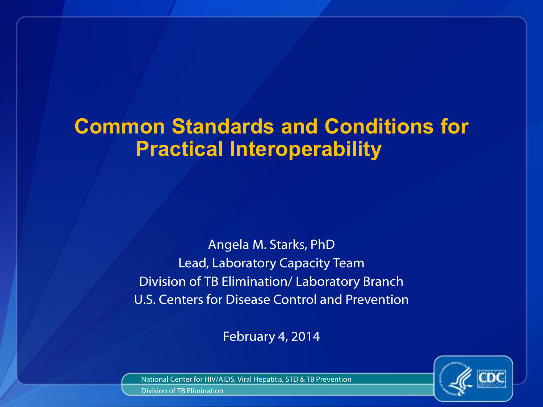## **Common Standards and Conditions for Practical Interoperability**

Angela M. Starks, PhD Lead, Laboratory Capacity Team Division of TB Elimination/ Laboratory Branch U.S. Centers for Disease Control and Prevention

February 4, 2014



National Center for HIV/AIDS, Viral Hepatitis, STD & TB Prevention

Division of TB Elimination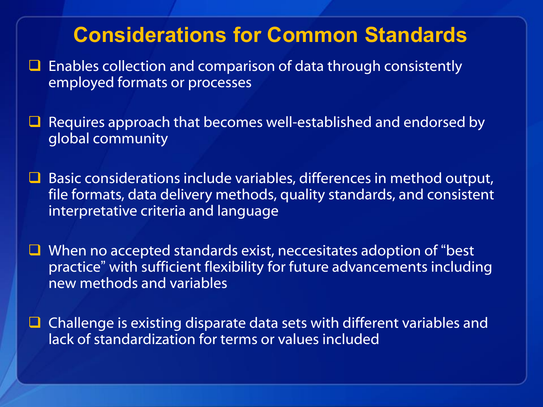#### **Considerations for Common Standards**

- $\Box$  Enables collection and comparison of data through consistently employed formats or processes
- $\Box$  Requires approach that becomes well-established and endorsed by global community
- $\Box$  Basic considerations include variables, differences in method output, file formats, data delivery methods, quality standards, and consistent interpretative criteria and language
- $\Box$  When no accepted standards exist, neccesitates adoption of "best" practice" with sufficient flexibility for future advancements including new methods and variables
- $\Box$  Challenge is existing disparate data sets with different variables and lack of standardization for terms or values included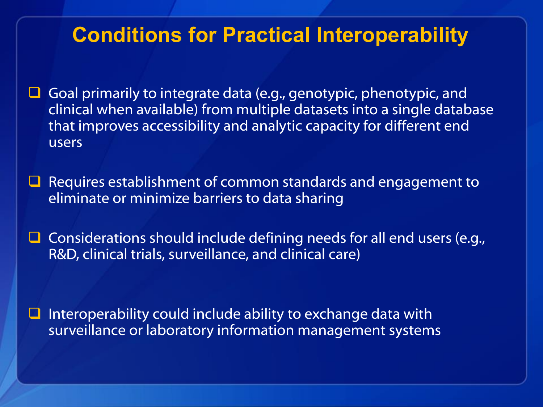### **Conditions for Practical Interoperability**

- Goal primarily to integrate data (e.g., genotypic, phenotypic, and clinical when available) from multiple datasets into a single database that improves accessibility and analytic capacity for different end users
- $\Box$  Requires establishment of common standards and engagement to eliminate or minimize barriers to data sharing
- $\Box$  Considerations should include defining needs for all end users (e.g., R&D, clinical trials, surveillance, and clinical care)

 Interoperability could include ability to exchange data with surveillance or laboratory information management systems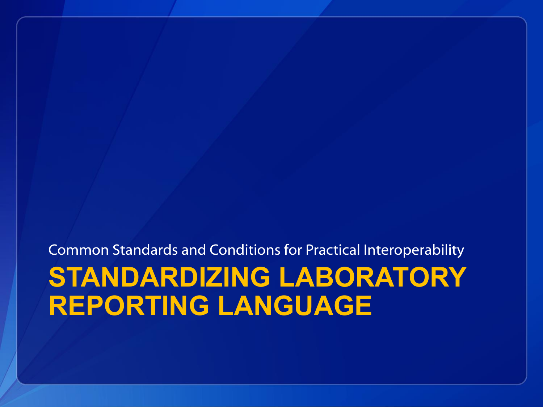**STANDARDIZING LABORATORY REPORTING LANGUAGE** Common Standards and Conditions for Practical Interoperability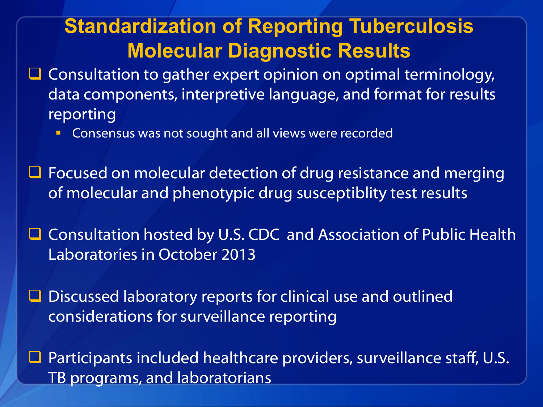### **Standardization of Reporting Tuberculosis Molecular Diagnostic Results**

- $\Box$  Consultation to gather expert opinion on optimal terminology, data components, interpretive language, and format for results reporting
	- Consensus was not sought and all views were recorded
- **□** Focused on molecular detection of drug resistance and merging of molecular and phenotypic drug susceptiblity test results
- Consultation hosted by U.S. CDC and Association of Public Health Laboratories in October 2013
- **□** Discussed laboratory reports for clinical use and outlined considerations for surveillance reporting
- $\Box$  Participants included healthcare providers, surveillance staff, U.S. TB programs, and laboratorians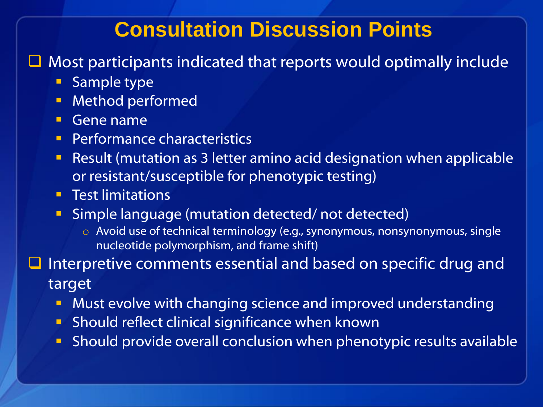#### **Consultation Discussion Points**

 $\Box$  Most participants indicated that reports would optimally include

- **Sample type**
- **Method performed**
- Gene name
- **Performance characteristics**
- Result (mutation as 3 letter amino acid designation when applicable or resistant/susceptible for phenotypic testing)
- **Test limitations**
- **Simple language (mutation detected/not detected)** 
	- o Avoid use of technical terminology (e.g., synonymous, nonsynonymous, single nucleotide polymorphism, and frame shift)

 Interpretive comments essential and based on specific drug and target

- **Must evolve with changing science and improved understanding**
- **Should reflect clinical significance when known**
- Should provide overall conclusion when phenotypic results available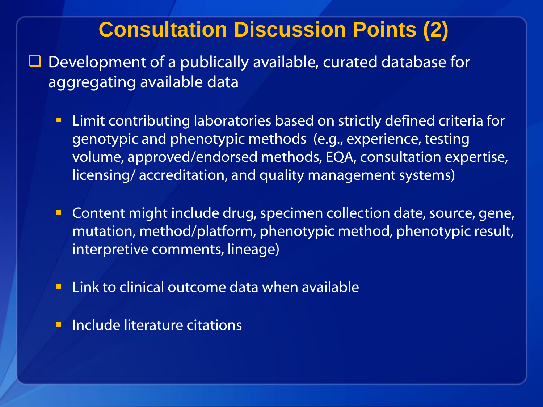#### **Consultation Discussion Points (2)**

- $\Box$  Development of a publically available, curated database for aggregating available data
	- Limit contributing laboratories based on strictly defined criteria for genotypic and phenotypic methods (e.g., experience, testing volume, approved/endorsed methods, EQA, consultation expertise, licensing/ accreditation, and quality management systems)
	- **Content might include drug, specimen collection date, source, gene,** mutation, method/platform, phenotypic method, phenotypic result, interpretive comments, lineage)
	- **EXTE:** Link to clinical outcome data when available
	- **Include literature citations**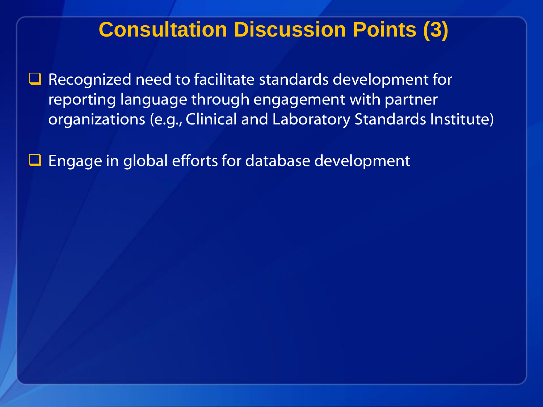### **Consultation Discussion Points (3)**

 Recognized need to facilitate standards development for reporting language through engagement with partner organizations (e.g., Clinical and Laboratory Standards Institute)

Engage in global efforts for database development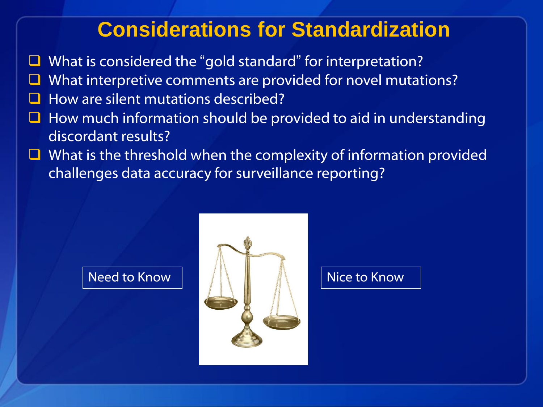### **Considerations for Standardization**

- What is considered the "gold standard" for interpretation?
- What interpretive comments are provided for novel mutations?
- How are silent mutations described?
- How much information should be provided to aid in understanding discordant results?
- $\Box$  What is the threshold when the complexity of information provided challenges data accuracy for surveillance reporting?

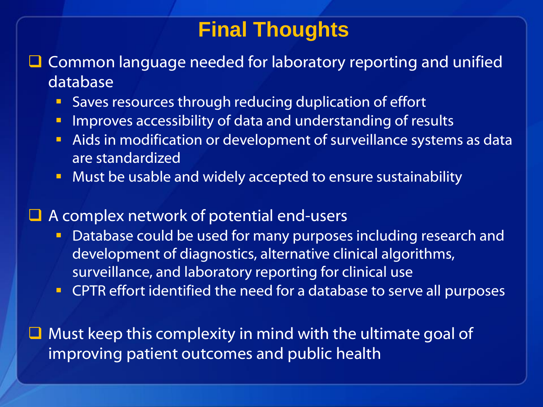### **Final Thoughts**

 $\Box$  Common language needed for laboratory reporting and unified database

- Saves resources through reducing duplication of effort
- **Improves accessibility of data and understanding of results**
- **Aids in modification or development of surveillance systems as data** are standardized
- **Must be usable and widely accepted to ensure sustainability**
- $\Box$  A complex network of potential end-users
	- Database could be used for many purposes including research and development of diagnostics, alternative clinical algorithms, surveillance, and laboratory reporting for clinical use
	- **CPTR** effort identified the need for a database to serve all purposes

 $\Box$  Must keep this complexity in mind with the ultimate goal of improving patient outcomes and public health